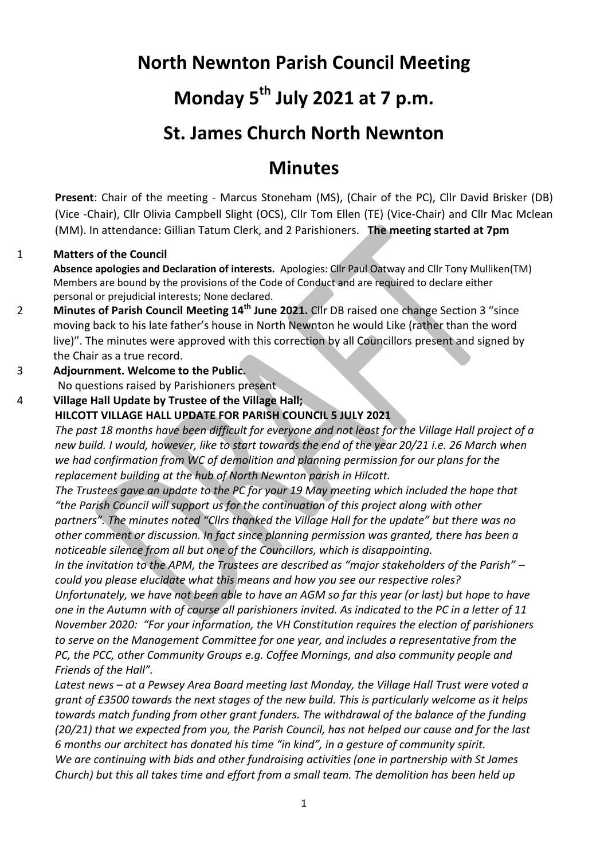## **North Newnton Parish Council Meeting**

# **Monday 5th July 2021 at 7 p.m.**

## **St. James Church North Newnton**

## **Minutes**

**Present**: Chair of the meeting - Marcus Stoneham (MS), (Chair of the PC), Cllr David Brisker (DB) (Vice -Chair), Cllr Olivia Campbell Slight (OCS), Cllr Tom Ellen (TE) (Vice-Chair) and Cllr Mac Mclean (MM). In attendance: Gillian Tatum Clerk, and 2 Parishioners. **The meeting started at 7pm**

## 1 **Matters of the Council**

**Absence apologies and Declaration of interests.** Apologies: Cllr Paul Oatway and Cllr Tony Mulliken(TM) Members are bound by the provisions of the Code of Conduct and are required to declare either personal or prejudicial interests; None declared.

- 2 **Minutes of Parish Council Meeting 14th June 2021.** Cllr DB raised one change Section 3 "since moving back to his late father's house in North Newnton he would Like (rather than the word live)". The minutes were approved with this correction by all Councillors present and signed by the Chair as a true record.
- 3 **Adjournment. Welcome to the Public.**

No questions raised by Parishioners present

4 **Village Hall Update by Trustee of the Village Hall; HILCOTT VILLAGE HALL UPDATE FOR PARISH COUNCIL 5 JULY 2021**

*The past 18 months have been difficult for everyone and not least for the Village Hall project of a new build. I would, however, like to start towards the end of the year 20/21 i.e. 26 March when we had confirmation from WC of demolition and planning permission for our plans for the replacement building at the hub of North Newnton parish in Hilcott.*

*The Trustees gave an update to the PC for your 19 May meeting which included the hope that "the Parish Council will support us for the continuation of this project along with other partners". The minutes noted "Cllrs thanked the Village Hall for the update" but there was no other comment or discussion. In fact since planning permission was granted, there has been a noticeable silence from all but one of the Councillors, which is disappointing.*

*In the invitation to the APM, the Trustees are described as "major stakeholders of the Parish" – could you please elucidate what this means and how you see our respective roles?*

*Unfortunately, we have not been able to have an AGM so far this year (or last) but hope to have one in the Autumn with of course all parishioners invited. As indicated to the PC in a letter of 11 November 2020: "For your information, the VH Constitution requires the election of parishioners to serve on the Management Committee for one year, and includes a representative from the PC, the PCC, other Community Groups e.g. Coffee Mornings, and also community people and Friends of the Hall".*

*Latest news – at a Pewsey Area Board meeting last Monday, the Village Hall Trust were voted a grant of £3500 towards the next stages of the new build. This is particularly welcome as it helps towards match funding from other grant funders. The withdrawal of the balance of the funding (20/21) that we expected from you, the Parish Council, has not helped our cause and for the last 6 months our architect has donated his time "in kind", in a gesture of community spirit. We are continuing with bids and other fundraising activities (one in partnership with St James Church) but this all takes time and effort from a small team. The demolition has been held up*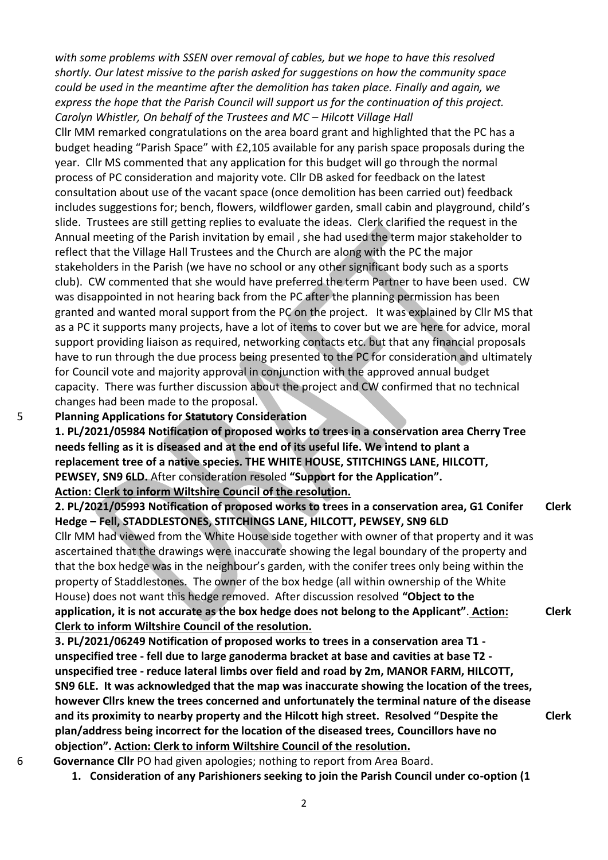*with some problems with SSEN over removal of cables, but we hope to have this resolved shortly. Our latest missive to the parish asked for suggestions on how the community space could be used in the meantime after the demolition has taken place. Finally and again, we express the hope that the Parish Council will support us for the continuation of this project. Carolyn Whistler, On behalf of the Trustees and MC – Hilcott Village Hall* 

Cllr MM remarked congratulations on the area board grant and highlighted that the PC has a budget heading "Parish Space" with £2,105 available for any parish space proposals during the year. Cllr MS commented that any application for this budget will go through the normal process of PC consideration and majority vote. Cllr DB asked for feedback on the latest consultation about use of the vacant space (once demolition has been carried out) feedback includes suggestions for; bench, flowers, wildflower garden, small cabin and playground, child's slide. Trustees are still getting replies to evaluate the ideas. Clerk clarified the request in the Annual meeting of the Parish invitation by email , she had used the term major stakeholder to reflect that the Village Hall Trustees and the Church are along with the PC the major stakeholders in the Parish (we have no school or any other significant body such as a sports club). CW commented that she would have preferred the term Partner to have been used. CW was disappointed in not hearing back from the PC after the planning permission has been granted and wanted moral support from the PC on the project. It was explained by Cllr MS that as a PC it supports many projects, have a lot of items to cover but we are here for advice, moral support providing liaison as required, networking contacts etc. but that any financial proposals have to run through the due process being presented to the PC for consideration and ultimately for Council vote and majority approval in conjunction with the approved annual budget capacity. There was further discussion about the project and CW confirmed that no technical changes had been made to the proposal.

### 5 **Planning Applications for Statutory Consideration**

**1. PL/2021/05984 Notification of proposed works to trees in a conservation area Cherry Tree needs felling as it is diseased and at the end of its useful life. We intend to plant a replacement tree of a native species. THE WHITE HOUSE, STITCHINGS LANE, HILCOTT, PEWSEY, SN9 6LD.** After consideration resoled **"Support for the Application". Action: Clerk to inform Wiltshire Council of the resolution.**

```
2. PL/2021/05993 Notification of proposed works to trees in a conservation area, G1 Conifer 
Hedge – Fell, STADDLESTONES, STITCHINGS LANE, HILCOTT, PEWSEY, SN9 6LD
Cllr MM had viewed from the White House side together with owner of that property and it was 
ascertained that the drawings were inaccurate showing the legal boundary of the property and 
that the box hedge was in the neighbour's garden, with the conifer trees only being within the 
property of Staddlestones. The owner of the box hedge (all within ownership of the White 
House) does not want this hedge removed. After discussion resolved "Object to the 
application, it is not accurate as the box hedge does not belong to the Applicant". Action: 
Clerk to inform Wiltshire Council of the resolution.
3. PL/2021/06249 Notification of proposed works to trees in a conservation area T1 -
                                                                                                Clerk
                                                                                                Clerk
```
**unspecified tree - fell due to large ganoderma bracket at base and cavities at base T2 unspecified tree - reduce lateral limbs over field and road by 2m, MANOR FARM, HILCOTT, SN9 6LE. It was acknowledged that the map was inaccurate showing the location of the trees, however Cllrs knew the trees concerned and unfortunately the terminal nature of the disease and its proximity to nearby property and the Hilcott high street. Resolved "Despite the plan/address being incorrect for the location of the diseased trees, Councillors have no objection". Action: Clerk to inform Wiltshire Council of the resolution.**

**Clerk**

- 6 **Governance Cllr** PO had given apologies; nothing to report from Area Board.
	- **1. Consideration of any Parishioners seeking to join the Parish Council under co-option (1**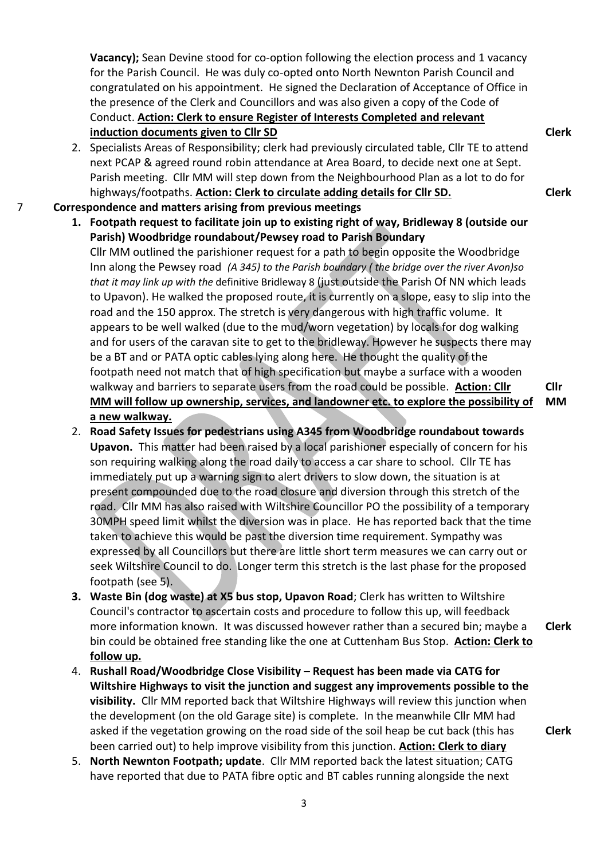**Vacancy);** Sean Devine stood for co-option following the election process and 1 vacancy for the Parish Council. He was duly co-opted onto North Newnton Parish Council and congratulated on his appointment. He signed the Declaration of Acceptance of Office in the presence of the Clerk and Councillors and was also given a copy of the Code of Conduct. **Action: Clerk to ensure Register of Interests Completed and relevant induction documents given to Cllr SD**

- 2. Specialists Areas of Responsibility; clerk had previously circulated table, Cllr TE to attend next PCAP & agreed round robin attendance at Area Board, to decide next one at Sept. Parish meeting. Cllr MM will step down from the Neighbourhood Plan as a lot to do for highways/footpaths. **Action: Clerk to circulate adding details for Cllr SD.**
- 7 **Correspondence and matters arising from previous meetings**
	- **1. Footpath request to facilitate join up to existing right of way, Bridleway 8 (outside our Parish) Woodbridge roundabout/Pewsey road to Parish Boundary**

Cllr MM outlined the parishioner request for a path to begin opposite the Woodbridge Inn along the Pewsey road *(A 345) to the Parish boundary ( the bridge over the river Avon)so that it may link up with the* definitive Bridleway 8 (just outside the Parish Of NN which leads to Upavon). He walked the proposed route, it is currently on a slope, easy to slip into the road and the 150 approx. The stretch is very dangerous with high traffic volume. It appears to be well walked (due to the mud/worn vegetation) by locals for dog walking and for users of the caravan site to get to the bridleway. However he suspects there may be a BT and or PATA optic cables lying along here. He thought the quality of the footpath need not match that of high specification but maybe a surface with a wooden walkway and barriers to separate users from the road could be possible. **Action: Cllr MM will follow up ownership, services, and landowner etc. to explore the possibility of a new walkway.**

- 2. **Road Safety Issues for pedestrians using A345 from Woodbridge roundabout towards Upavon.** This matter had been raised by a local parishioner especially of concern for his son requiring walking along the road daily to access a car share to school. Cllr TE has immediately put up a warning sign to alert drivers to slow down, the situation is at present compounded due to the road closure and diversion through this stretch of the road. Cllr MM has also raised with Wiltshire Councillor PO the possibility of a temporary 30MPH speed limit whilst the diversion was in place. He has reported back that the time taken to achieve this would be past the diversion time requirement. Sympathy was expressed by all Councillors but there are little short term measures we can carry out or seek Wiltshire Council to do. Longer term this stretch is the last phase for the proposed footpath (see 5).
- **3. Waste Bin (dog waste) at X5 bus stop, Upavon Road**; Clerk has written to Wiltshire Council's contractor to ascertain costs and procedure to follow this up, will feedback more information known. It was discussed however rather than a secured bin; maybe a bin could be obtained free standing like the one at Cuttenham Bus Stop. **Action: Clerk to follow up. Clerk**
- 4. **Rushall Road/Woodbridge Close Visibility – Request has been made via CATG for Wiltshire Highways to visit the junction and suggest any improvements possible to the visibility.** Cllr MM reported back that Wiltshire Highways will review this junction when the development (on the old Garage site) is complete. In the meanwhile Cllr MM had asked if the vegetation growing on the road side of the soil heap be cut back (this has been carried out) to help improve visibility from this junction. **Action: Clerk to diary**
- 5. **North Newnton Footpath; update**. Cllr MM reported back the latest situation; CATG have reported that due to PATA fibre optic and BT cables running alongside the next

**Clerk**

**Clerk**

**Cllr** 

**MM**

**Clerk**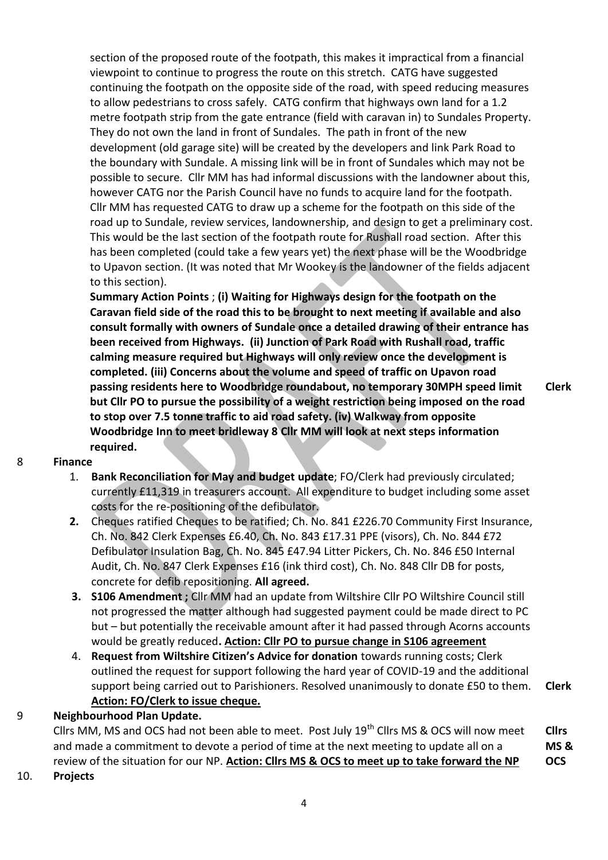section of the proposed route of the footpath, this makes it impractical from a financial viewpoint to continue to progress the route on this stretch. CATG have suggested continuing the footpath on the opposite side of the road, with speed reducing measures to allow pedestrians to cross safely. CATG confirm that highways own land for a 1.2 metre footpath strip from the gate entrance (field with caravan in) to Sundales Property. They do not own the land in front of Sundales. The path in front of the new development (old garage site) will be created by the developers and link Park Road to the boundary with Sundale. A missing link will be in front of Sundales which may not be possible to secure. Cllr MM has had informal discussions with the landowner about this, however CATG nor the Parish Council have no funds to acquire land for the footpath. Cllr MM has requested CATG to draw up a scheme for the footpath on this side of the road up to Sundale, review services, landownership, and design to get a preliminary cost. This would be the last section of the footpath route for Rushall road section. After this has been completed (could take a few years yet) the next phase will be the Woodbridge to Upavon section. (It was noted that Mr Wookey is the landowner of the fields adjacent to this section).

**Summary Action Points** ; **(i) Waiting for Highways design for the footpath on the Caravan field side of the road this to be brought to next meeting if available and also consult formally with owners of Sundale once a detailed drawing of their entrance has been received from Highways. (ii) Junction of Park Road with Rushall road, traffic calming measure required but Highways will only review once the development is completed. (iii) Concerns about the volume and speed of traffic on Upavon road passing residents here to Woodbridge roundabout, no temporary 30MPH speed limit but Cllr PO to pursue the possibility of a weight restriction being imposed on the road to stop over 7.5 tonne traffic to aid road safety. (iv) Walkway from opposite Woodbridge Inn to meet bridleway 8 Cllr MM will look at next steps information required.**

- 8 **Finance** 
	- 1. **Bank Reconciliation for May and budget update**; FO/Clerk had previously circulated; currently £11,319 in treasurers account. All expenditure to budget including some asset costs for the re-positioning of the defibulator.
	- **2.** Cheques ratified Cheques to be ratified; Ch. No. 841 £226.70 Community First Insurance, Ch. No. 842 Clerk Expenses £6.40, Ch. No. 843 £17.31 PPE (visors), Ch. No. 844 £72 Defibulator Insulation Bag, Ch. No. 845 £47.94 Litter Pickers, Ch. No. 846 £50 Internal Audit, Ch. No. 847 Clerk Expenses £16 (ink third cost), Ch. No. 848 Cllr DB for posts, concrete for defib repositioning. **All agreed.**
	- **3. S106 Amendment ;** Cllr MM had an update from Wiltshire Cllr PO Wiltshire Council still not progressed the matter although had suggested payment could be made direct to PC but – but potentially the receivable amount after it had passed through Acorns accounts would be greatly reduced**. Action: Cllr PO to pursue change in S106 agreement**
	- 4. **Request from Wiltshire Citizen's Advice for donation** towards running costs; Clerk outlined the request for support following the hard year of COVID-19 and the additional support being carried out to Parishioners. Resolved unanimously to donate £50 to them. **Action: FO/Clerk to issue cheque. Clerk**

## 9 **Neighbourhood Plan Update.**

Cllrs MM, MS and OCS had not been able to meet. Post July 19<sup>th</sup> Cllrs MS & OCS will now meet and made a commitment to devote a period of time at the next meeting to update all on a review of the situation for our NP. **Action: Cllrs MS & OCS to meet up to take forward the NP Cllrs MS & OCS**

## 10. **Projects**